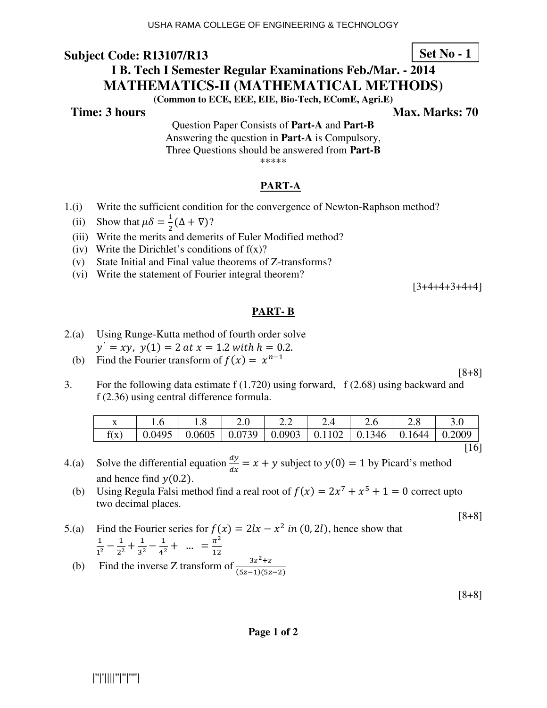**Time: 3 hours Max. Marks: 70 Max. Marks: 70** 

Question Paper Consists of **Part-A** and **Part-B** Answering the question in **Part-A** is Compulsory, Three Questions should be answered from **Part-B** \*\*\*\*\*

### **PART-A**

- 1.(i) Write the sufficient condition for the convergence of Newton-Raphson method?
- (ii) Show that  $\mu \delta = \frac{1}{2} (\Delta + \nabla)$ ?
- (iii) Write the merits and demerits of Euler Modified method?
	- (iv) Write the Dirichlet's conditions of  $f(x)$ ?
	- (v) State Initial and Final value theorems of Z-transforms?
	- (vi) Write the statement of Fourier integral theorem?

 $[3+4+4+3+4+4]$ 

### **PART- B**

- 2.(a) Using Runge-Kutta method of fourth order solve  $y' = xy$ ,  $y(1) = 2$  at  $x = 1.2$  with  $h = 0.2$ .
- (b) Find the Fourier transform of  $f(x) = x^{n-1}$

3. For the following data estimate f (1.720) using forward, f (2.68) using backward and f (2.36) using central difference formula.

|      |                                                                       |  | 2.2 | 2.4 | 2.6 |        |
|------|-----------------------------------------------------------------------|--|-----|-----|-----|--------|
| f(x) | 0.0495   0.0605   0.0739   0.0903   0.1102   0.1346   0.1644   0.2009 |  |     |     |     |        |
|      |                                                                       |  |     |     |     | $[16]$ |

- 4.(a) Solve the differential equation  $\frac{dy}{dx} = x + y$  subject to  $y(0) = 1$  by Picard's method and hence find  $y(0.2)$ .
- (b) Using Regula Falsi method find a real root of  $f(x) = 2x^7 + x^5 + 1 = 0$  correct upto two decimal places.

$$
[8+8]
$$

[8+8]

5.(a) Find the Fourier series for  $f(x) = 2lx - x^2$  in (0, 2l), hence show that  $\mathbf{1}$  $\frac{1}{1^2} - \frac{1}{2^2}$  $\frac{1}{2^2} + \frac{1}{3^2}$  $\frac{1}{3^2} - \frac{1}{4^2}$  $\frac{1}{4^2} + \dots = \frac{\pi^2}{12}$  $\frac{n}{12}$ 

(b) Find the inverse Z transform of  $\frac{3z^2+z}{(5z-1)(5z-2)}$ 

[8+8]

|''|'||||''|''|''''|

**Set No - 1**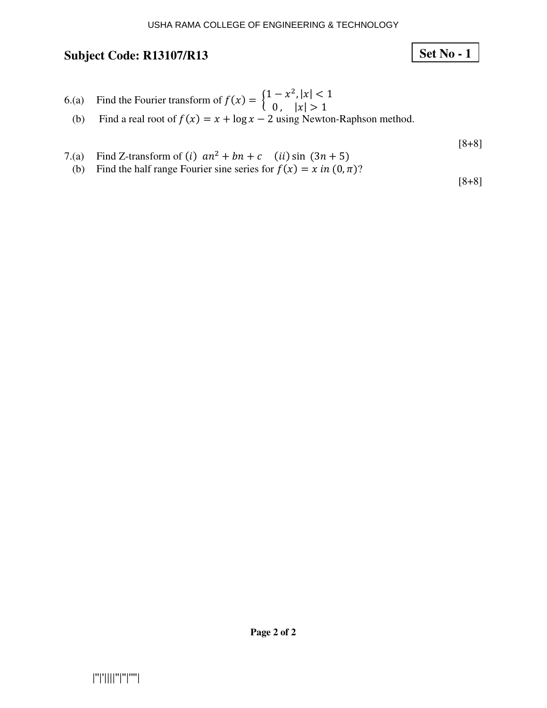# **Set No - 1**

6.(a) Find the Fourier transform of 
$$
f(x) = \begin{cases} 1 - x^2, |x| < 1 \\ 0, |x| > 1 \end{cases}
$$

(b) Find a real root of 
$$
f(x) = x + \log x - 2
$$
 using Newton-Raphson method.

[8+8]

- 
- 7.(a) Find Z-transform of (*i*)  $an^2 + bn + c$  (*ii*) sin  $(3n + 5)$ <br>(b) Find the half range Fourier sine series for  $f(x) = x$  in  $(0, \pi)$ ?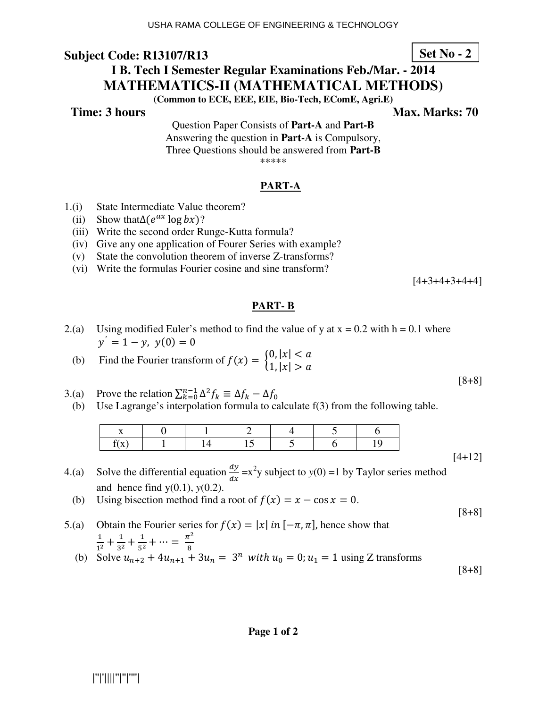### **Time: 3 hours Max. Marks: 70 Max. Marks: 70**

Question Paper Consists of **Part-A** and **Part-B** Answering the question in **Part-A** is Compulsory, Three Questions should be answered from **Part-B** \*\*\*\*\*

#### **PART-A**

- 1.(i) State Intermediate Value theorem?
- (ii) Show that  $\Delta(e^{ax} \log bx)?$ 
	- (iii) Write the second order Runge-Kutta formula?
	- (iv) Give any one application of Fourer Series with example?
	- (v) State the convolution theorem of inverse Z-transforms?
	- (vi) Write the formulas Fourier cosine and sine transform?

 $[4+3+4+3+4+4]$ 

#### **PART- B**

- 2.(a) Using modified Euler's method to find the value of y at  $x = 0.2$  with  $h = 0.1$  where  $y' = 1 - y$ ,  $y(0) = 0$
- (b) Find the Fourier transform of  $f(x) = \begin{cases} 0, |x| < a \\ 1, |x| > a \end{cases}$
- 3.(a) Prove the relation  $\sum_{k=0}^{n-1} \Delta^2 f_k \equiv \Delta f_k \Delta f_0$
- (b) Use Lagrange's interpolation formula to calculate f(3) from the following table.

|  |                                |  | 0 1 2 4 5 |  |
|--|--------------------------------|--|-----------|--|
|  | $1 \t1 \t14 \t15 \t5 \t6 \t1.$ |  |           |  |
|  |                                |  |           |  |

- 4.(a) Solve the differential equation  $\frac{dy}{dx} = x^2y$  subject to  $y(0) = 1$  by Taylor series method and hence find y(0.1), *y*(0.2).
- (b) Using bisection method find a root of  $f(x) = x \cos x = 0$ .
- 5.(a) Obtain the Fourier series for  $f(x) = |x|$  in  $[-\pi, \pi]$ , hence show that  $\frac{1}{1^2} + \frac{1}{3^2} + \frac{1}{5^2} + \cdots = \frac{\pi^2}{8}$ (b) Solve  $u_{n+2} + 4u_{n+1} + 3u_n = 3^n$  with  $u_0 = 0$ ;  $u_1 = 1$  using Z transforms

**Page 1 of 2** 

|''|'||||''|''|''''|

**Set No - 2**

[8+8]

[4+12]

[8+8]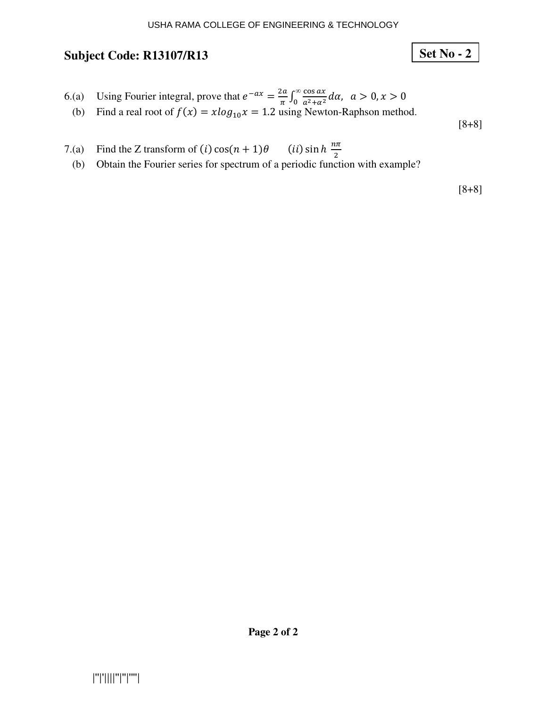# **Set No - 2**

- 6.(a) Using Fourier integral, prove that  $e^{-ax} = \frac{2a}{\pi}$  $\int_{\pi}^{2a} \int_0^{\infty} \frac{\cos ax}{a^2 + a^2} d\alpha$ ,  $a > 0, x > 0$  $\overline{0}$
- (b) Find a real root of  $f(x) = x \log_{10} x = 1.2$  using Newton-Raphson method.

[8+8]

- 7.(a) Find the Z transform of  $(i)$  cos $(n + 1)$  $\theta$  (ii) sin  $h \frac{n\pi}{2}$ 
	- (b) Obtain the Fourier series for spectrum of a periodic function with example?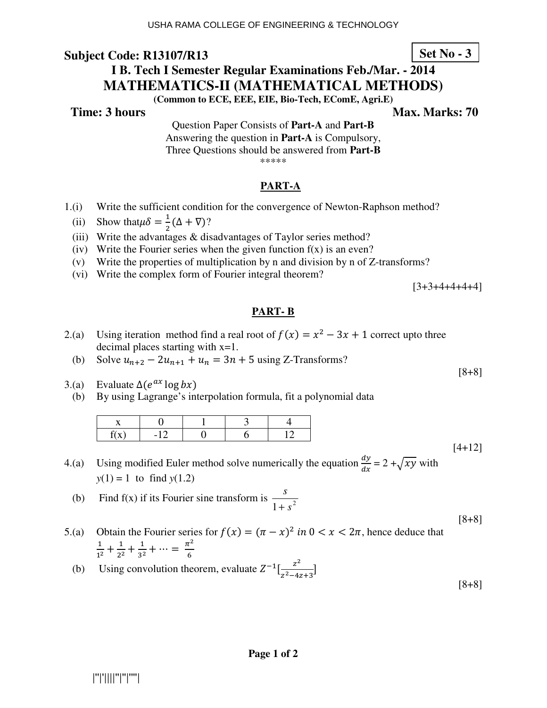**Time: 3 hours Max. Marks: 70 Max. Marks: 70** 

Question Paper Consists of **Part-A** and **Part-B** Answering the question in **Part-A** is Compulsory, Three Questions should be answered from **Part-B** \*\*\*\*\*

### **PART-A**

- 1.(i) Write the sufficient condition for the convergence of Newton-Raphson method?
- (ii) Show that  $\mu \delta = \frac{1}{2} (\Delta + \nabla)$ ?
	- (iii) Write the advantages & disadvantages of Taylor series method?
	- (iv) Write the Fourier series when the given function  $f(x)$  is an even?
	- (v) Write the properties of multiplication by n and division by n of Z-transforms?
	- (vi) Write the complex form of Fourier integral theorem?

 $[3+3+4+4+4+4]$ 

### **PART- B**

- 2.(a) Using iteration method find a real root of  $f(x) = x^2 3x + 1$  correct upto three decimal places starting with x=1.
	- (b) Solve  $u_{n+2} 2u_{n+1} + u_n = 3n + 5$  using Z-Transforms?
- 3.(a) Evaluate  $\Delta(e^{ax} \log bx)$ 
	- (b) By using Lagrange's interpolation formula, fit a polynomial data

4.(a) Using modified Euler method solve numerically the equation  $\frac{dy}{dx} = 2 + \sqrt{xy}$  with  $y(1) = 1$  to find  $y(1.2)$ 

(b) Find f(x) if its Fourier sine transform is  $\frac{3}{1+s^2}$ *s* +

5.(a) Obtain the Fourier series for  $f(x) = (\pi - x)^2$  in  $0 < x < 2\pi$ , hence deduce that  $\mathbf{1}$  $\frac{1}{1^2} + \frac{1}{2^2}$  $\frac{1}{2^2} + \frac{1}{3^2}$  $\frac{1}{3^2} + \cdots = \frac{\pi^2}{6}$ 6

(b) Using convolution theorem, evaluate  $Z^{-1}[\frac{z^2}{z^2-4}$  $\frac{z^2-4z+3}{z^2-4z+3}$ 

|''|'||||''|''|''''|

**Set No - 3**

[8+8]

[4+12]

[8+8]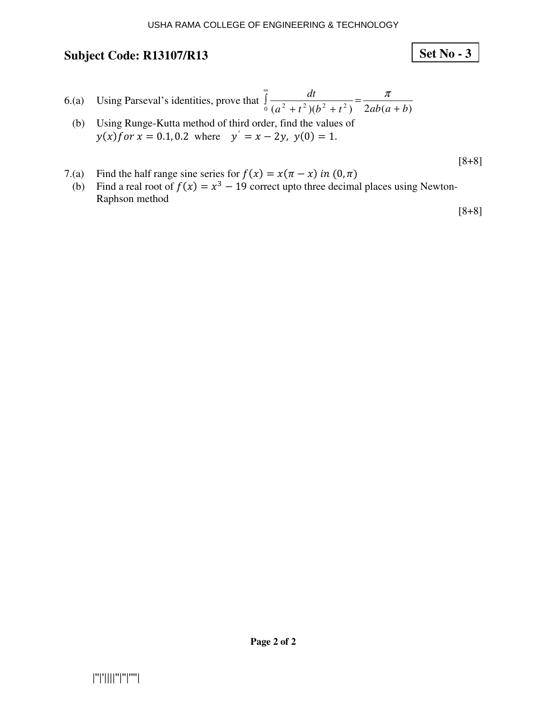6.(a) Using Parseval's identities, prove that 
$$
\int_{0}^{\infty} \frac{dt}{(a^2 + t^2)(b^2 + t^2)} = \frac{\pi}{2ab(a+b)}
$$

 (b) Using Runge-Kutta method of third order, find the values of  $y(x)$  for  $x = 0.1, 0.2$  where  $y' = x - 2y$ ,  $y(0) = 1$ .

$$
[8+8]
$$

**Set No - 3**

- 
- 7.(a) Find the half range sine series for  $f(x) = x(\pi x)$  in  $(0, \pi)$ <br>
(b) Find a real root of  $f(x) = x^3 19$  correct upto three decimal places using Newton-Raphson method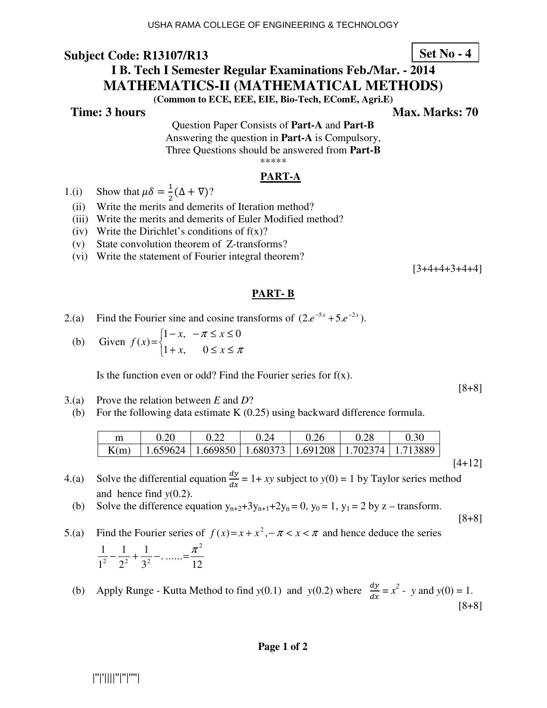**Time: 3 hours Max. Marks: 70 Max. Marks: 70** 

Question Paper Consists of **Part-A** and **Part-B** Answering the question in **Part-A** is Compulsory, Three Questions should be answered from **Part-B** \*\*\*\*\*

### **PART-A**

- 1.(i) Show that  $\mu \delta = \frac{1}{2} (\Delta + \nabla)$ ?
	- (ii) Write the merits and demerits of Iteration method?
	- (iii) Write the merits and demerits of Euler Modified method?
	- (iv) Write the Dirichlet's conditions of  $f(x)$ ?
	- (v) State convolution theorem of Z-transforms?
	- (vi) Write the statement of Fourier integral theorem?

 $[3+4+4+3+4+4]$ 

### **PART- B**

- 2.(a) Find the Fourier sine and cosine transforms of  $(2.e^{-5x} + 5.e^{-2x})$ .
- (b) Given  $\overline{\mathcal{L}}$ ∤  $\int$  $+x$ ,  $0 \le x \le$  $-x, -\pi \leq x \leq$ = π π  $x, \quad 0 \leq x$  $x, -\pi \leq x$ *f x*  $1 + x$ , 0  $1-x, -\pi \leq x \leq 0$  $(x) = \begin{cases} 1 & x = 0 \\ 0 & x = 1 \end{cases}$

Is the function even or odd? Find the Fourier series for  $f(x)$ .

- 3.(a) Prove the relation between *E* and *D*?
- (b) For the following data estimate K (0.25) using backward difference formula.

| m    | 0.20                                                                   | 0.24 | 0.26 | 0.28 | 0.30 |
|------|------------------------------------------------------------------------|------|------|------|------|
| K(m) | $\mid$ 1.659624   1.669850   1.680373   1.691208   1.702374   1.713889 |      |      |      |      |
|      |                                                                        |      |      |      |      |

- 4.(a) Solve the differential equation  $\frac{dy}{dx} = 1 + xy$  subject to  $y(0) = 1$  by Taylor series method and hence find *y*(0.2).
	- (b) Solve the difference equation  $y_{n+2}+3y_{n+1}+2y_n = 0$ ,  $y_0 = 1$ ,  $y_1 = 2$  by z transform.

$$
[8+8]
$$

[8+8]

5.(a) Find the Fourier series of  $f(x)=x+x^2, -\pi < x < \pi$  and hence deduce the series 12 ....... 3 1 2 1 1 1 1 1  $\pi^2$ 2  $2^2$   $2^2$  $-\frac{1}{2}+\frac{1}{2}-...=-\frac{\pi}{2}$ 

(b) Apply Runge - Kutta Method to find  $y(0.1)$  and  $y(0.2)$  where  $\frac{dy}{dx} = x^2 - y$  and  $y(0) = 1$ . [8+8]

|''|'||||''|''|''''|

## **Set No - 4**